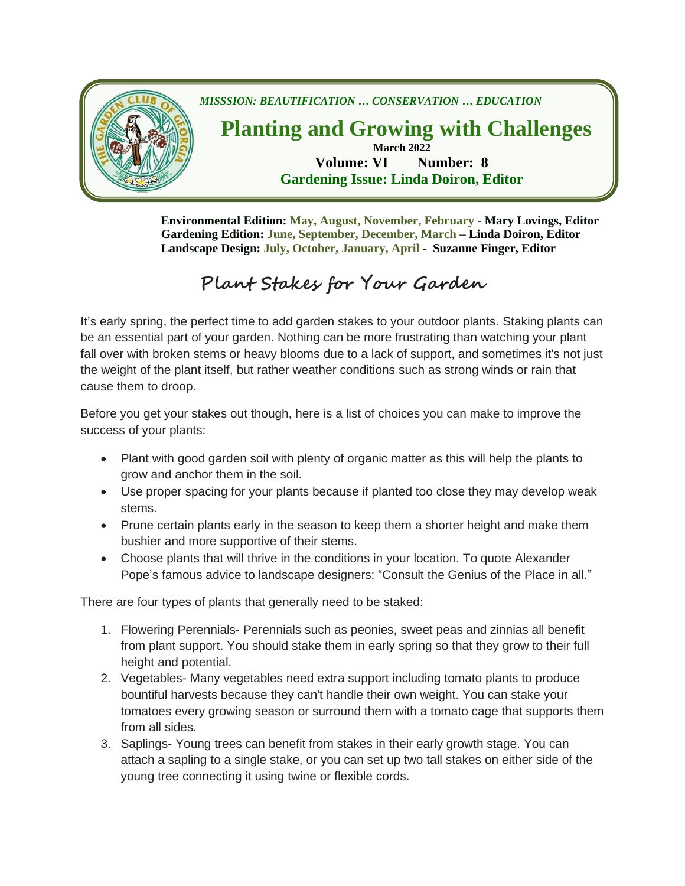

**Environmental Edition: May, August, November, February - Mary Lovings, Editor Gardening Edition: June, September, December, March – Linda Doiron, Editor Landscape Design: July, October, January, April - Suzanne Finger, Editor**

## **Plant Stakes for Your Garden**

It's early spring, the perfect time to add garden stakes to your outdoor plants. Staking plants can be an essential part of your garden. Nothing can be more frustrating than watching your plant fall over with broken stems or heavy blooms due to a lack of support, and sometimes it's not just the weight of the plant itself, but rather weather conditions such as strong winds or rain that cause them to droop.

Before you get your stakes out though, here is a list of choices you can make to improve the success of your plants:

- Plant with good garden soil with plenty of organic matter as this will help the plants to grow and anchor them in the soil.
- Use proper spacing for your plants because if planted too close they may develop weak stems.
- Prune certain plants early in the season to keep them a shorter height and make them bushier and more supportive of their stems.
- Choose plants that will thrive in the conditions in your location. To quote Alexander Pope's famous advice to landscape designers: "Consult the Genius of the Place in all."

There are four types of plants that generally need to be staked:

- 1. Flowering Perennials- Perennials such as peonies, sweet peas and zinnias all benefit from plant support. You should stake them in early spring so that they grow to their full height and potential.
- 2. Vegetables- Many vegetables need extra support including tomato plants to produce bountiful harvests because they can't handle their own weight. You can stake your tomatoes every growing season or surround them with a tomato cage that supports them from all sides.
- 3. Saplings- Young trees can benefit from stakes in their early growth stage. You can attach a sapling to a single stake, or you can set up two tall stakes on either side of the young tree connecting it using twine or flexible cords.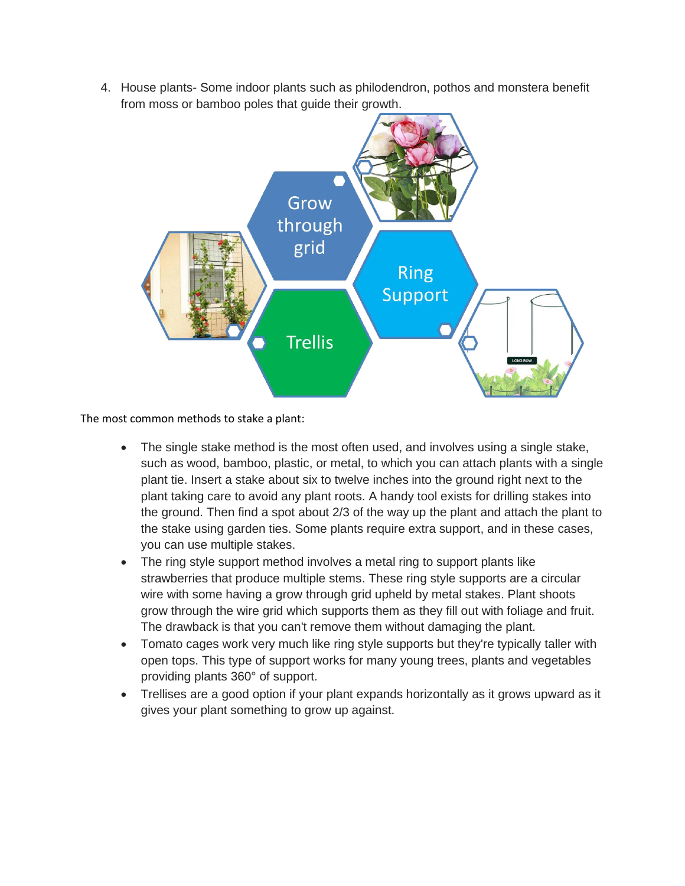4. House plants- Some indoor plants such as philodendron, pothos and monstera benefit from moss or bamboo poles that guide their growth.



The most common methods to stake a plant:

- The single stake method is the most often used, and involves using a single stake, such as wood, bamboo, plastic, or metal, to which you can attach plants with a single plant tie. Insert a stake about six to twelve inches into the ground right next to the plant taking care to avoid any plant roots. A handy tool exists for drilling stakes into the ground. Then find a spot about 2/3 of the way up the plant and attach the plant to the stake using garden ties. Some plants require extra support, and in these cases, you can use multiple stakes.
- The ring style support method involves a metal ring to support plants like strawberries that produce multiple stems. These ring style supports are a circular wire with some having a grow through grid upheld by metal stakes. Plant shoots grow through the wire grid which supports them as they fill out with foliage and fruit. The drawback is that you can't remove them without damaging the plant.
- Tomato cages work very much like ring style supports but they're typically taller with open tops. This type of support works for many young trees, plants and vegetables providing plants 360° of support.
- Trellises are a good option if your plant expands horizontally as it grows upward as it gives your plant something to grow up against.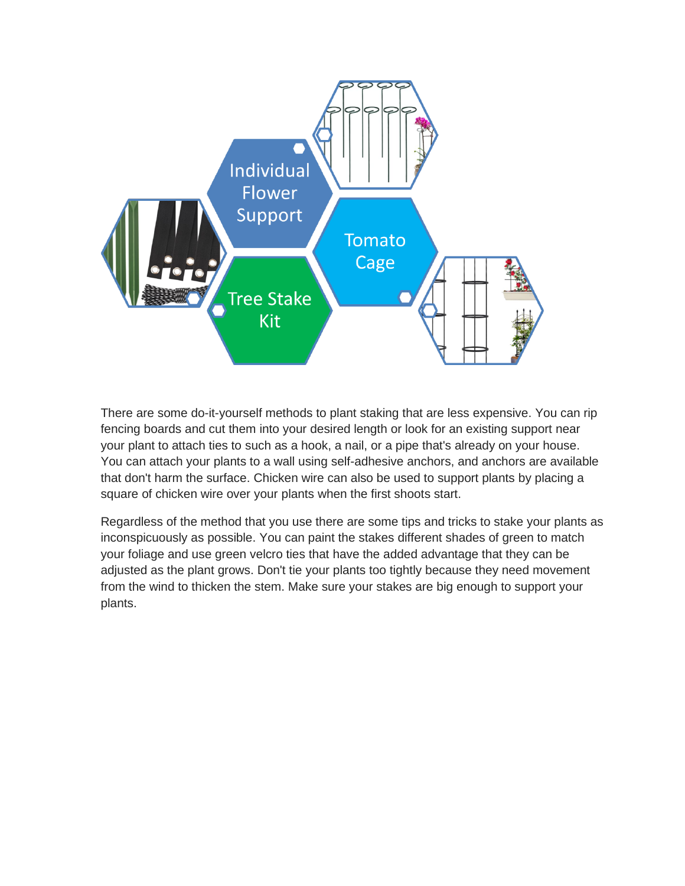

There are some do-it-yourself methods to plant staking that are less expensive. You can rip fencing boards and cut them into your desired length or look for an existing support near your plant to attach ties to such as a hook, a nail, or a pipe that's already on your house. You can attach your plants to a wall using self-adhesive anchors, and anchors are available that don't harm the surface. Chicken wire can also be used to support plants by placing a square of chicken wire over your plants when the first shoots start.

Regardless of the method that you use there are some tips and tricks to stake your plants as inconspicuously as possible. You can paint the stakes different shades of green to match your foliage and use green velcro ties that have the added advantage that they can be adjusted as the plant grows. Don't tie your plants too tightly because they need movement from the wind to thicken the stem. Make sure your stakes are big enough to support your plants.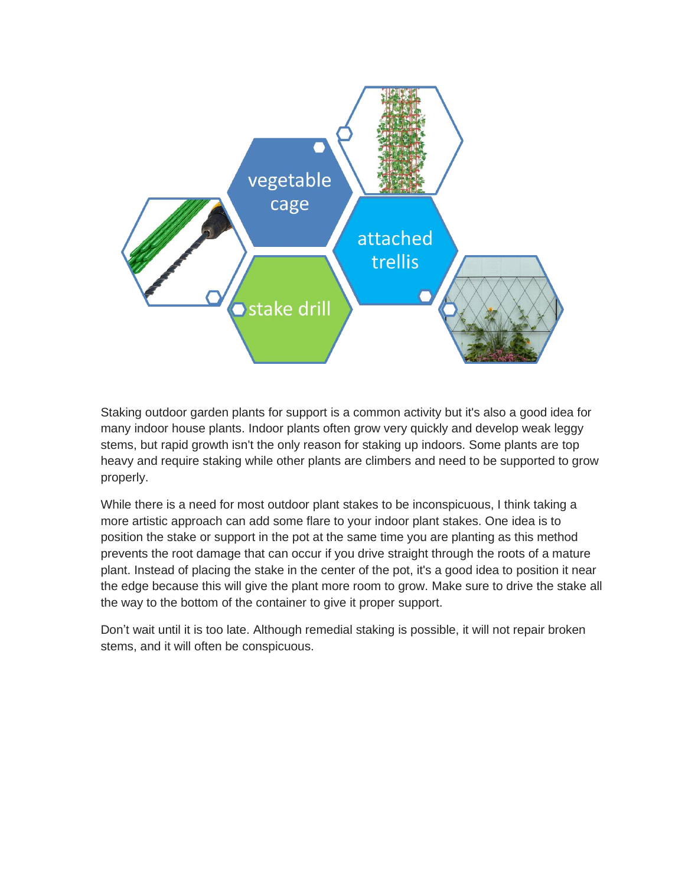

Staking outdoor garden plants for support is a common activity but it's also a good idea for many indoor house plants. Indoor plants often grow very quickly and develop weak leggy stems, but rapid growth isn't the only reason for staking up indoors. Some plants are top heavy and require staking while other plants are climbers and need to be supported to grow properly.

While there is a need for most outdoor plant stakes to be inconspicuous, I think taking a more artistic approach can add some flare to your indoor plant stakes. One idea is to position the stake or support in the pot at the same time you are planting as this method prevents the root damage that can occur if you drive straight through the roots of a mature plant. Instead of placing the stake in the center of the pot, it's a good idea to position it near the edge because this will give the plant more room to grow. Make sure to drive the stake all the way to the bottom of the container to give it proper support.

Don't wait until it is too late. Although remedial staking is possible, it will not repair broken stems, and it will often be conspicuous.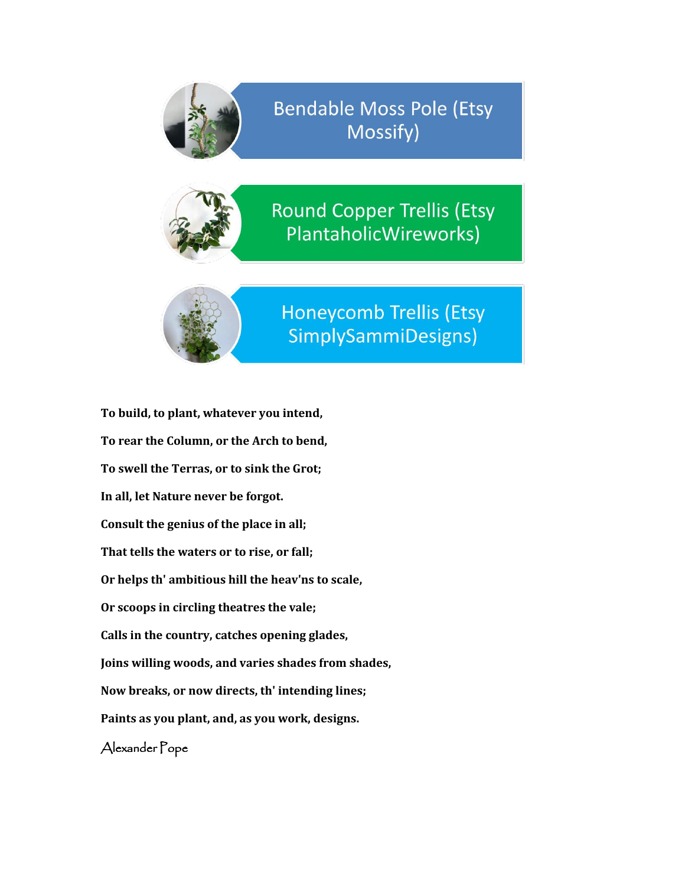

**Bendable Moss Pole (Etsy** Mossify)



**Round Copper Trellis (Etsy** PlantaholicWireworks)



**Honeycomb Trellis (Etsy** SimplySammiDesigns)

**To build, to plant, whatever you intend, To rear the Column, or the Arch to bend, To swell the Terras, or to sink the Grot; In all, let Nature never be forgot. Consult the genius of the place in all; That tells the waters or to rise, or fall; Or helps th' ambitious hill the heav'ns to scale, Or scoops in circling theatres the vale; Calls in the country, catches opening glades, Joins willing woods, and varies shades from shades, Now breaks, or now directs, th' intending lines; Paints as you plant, and, as you work, designs.** Alexander Pope